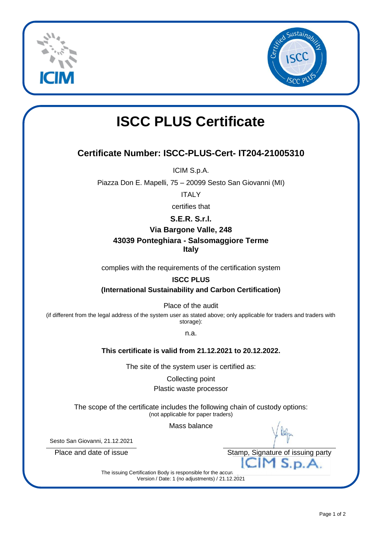



# **ISCC PLUS Certificate**

### **Certificate Number: ISCC-PLUS-Cert- IT204-21005310**

ICIM S.p.A.

Piazza Don E. Mapelli, 75 – 20099 Sesto San Giovanni (MI)

ITALY

certifies that

#### **S.E.R. S.r.l.**

#### **Via Bargone Valle, 248**

# **43039 Ponteghiara - Salsomaggiore Terme**

**Italy**

complies with the requirements of the certification system

#### **ISCC PLUS**

**(International Sustainability and Carbon Certification)**

Place of the audit

(if different from the legal address of the system user as stated above; only applicable for traders and traders with storage):

n.a.

#### **This certificate is valid from 21.12.2021 to 20.12.2022.**

The site of the system user is certified as:

Collecting point

#### Plastic waste processor

The scope of the certificate includes the following chain of custody options: (not applicable for paper traders)

Mass balance

Sesto San Giovanni, 21.12.2021

Place and date of issue The Stamp, Signature of issuing party

The issuing Certification Body is responsible for the accura Version / Date: 1 (no adjustments) / 21.12.2021